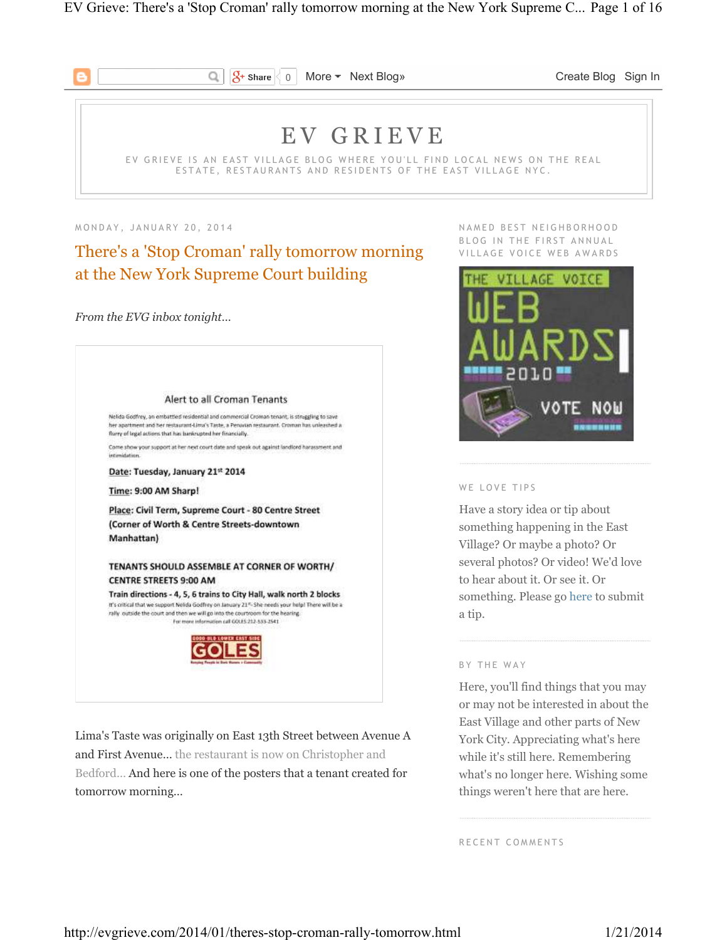

 $\sqrt{2}$  Share 0 More • Next Blog» Create Blog Sign In

# E V G R I E V E

EV GRIEVE IS AN EAST VILLAGE BLOG WHERE YOU'LL FIND LOCAL NEWS ON THE REAL ESTATE, RESTAURANTS AND RESIDENTS OF THE EAST VILLAGE NYC.

M O N D A Y , J A N U A R Y 2 0 , 2 0 1 4

## There's a 'Stop Croman' rally tomorrow morning at the New York Supreme Court building

Q

*From the EVG inbox tonight…* 



Lima's Taste was originally on East 13th Street between Avenue A and First Avenue… the restaurant is now on Christopher and Bedford… And here is one of the posters that a tenant created for tomorrow morning…

NAMED BEST NEIGHBORHOOD BLOG IN THE FIRST ANNUAL VILLAGE VOICE WEB AWARDS



#### WE LOVE TIPS

Have a story idea or tip about something happening in the East Village? Or maybe a photo? Or several photos? Or video! We'd love to hear about it. Or see it. Or something. Please go here to submit a tip.

#### BY THE WAY

Here, you'll find things that you may or may not be interested in about the East Village and other parts of New York City. Appreciating what's here while it's still here. Remembering what's no longer here. Wishing some things weren't here that are here.

RECENT COMMENTS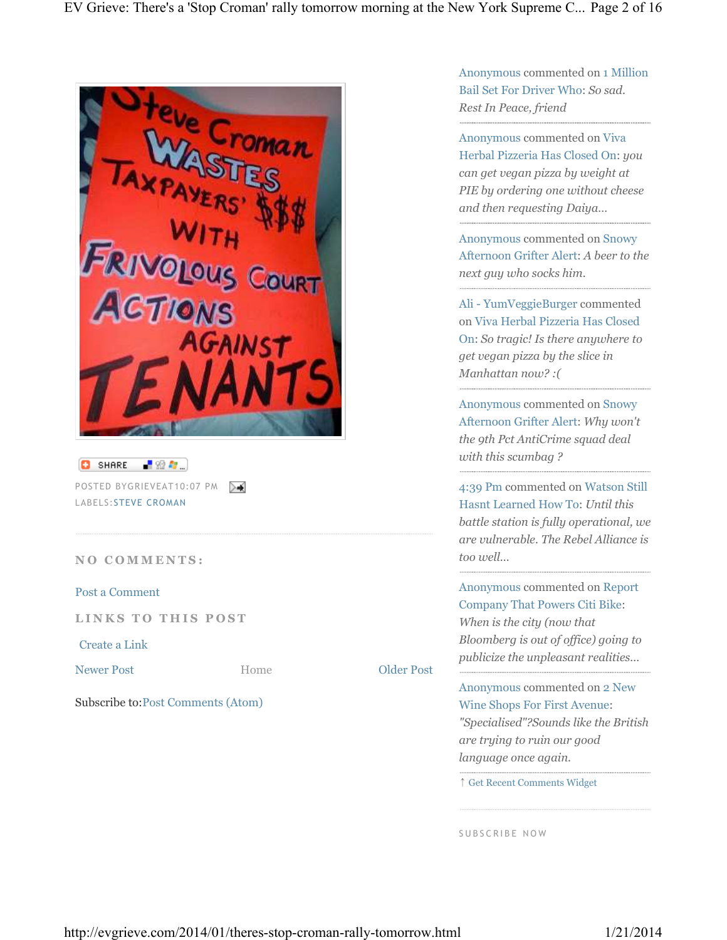| SHARE <b>P</b> 22 <b>A</b><br>ø<br>POSTED BYGRIEVEAT10:07 PM >→<br>LABELS: STEVE CROMAN<br><b>NO COMMENTS:</b><br>Post a Comment<br>LINKS TO THIS POST<br>Create a Link<br><b>Older Post</b><br><b>Newer Post</b><br>Home<br>Subscribe to: Post Comments (Atom) | <b>ACTIONS</b> | AS<br><b>NITH</b><br><b>FRIVOLOUS COURT</b><br>GAINST |  |
|-----------------------------------------------------------------------------------------------------------------------------------------------------------------------------------------------------------------------------------------------------------------|----------------|-------------------------------------------------------|--|
|                                                                                                                                                                                                                                                                 |                |                                                       |  |
|                                                                                                                                                                                                                                                                 |                |                                                       |  |
|                                                                                                                                                                                                                                                                 |                |                                                       |  |
|                                                                                                                                                                                                                                                                 |                |                                                       |  |
|                                                                                                                                                                                                                                                                 |                |                                                       |  |
|                                                                                                                                                                                                                                                                 |                |                                                       |  |
|                                                                                                                                                                                                                                                                 |                |                                                       |  |

Anonymous commented on 1 Million Bail Set For Driver Who: *So sad. Rest In Peace, friend*

Anonymous commented on Viva Herbal Pizzeria Has Closed On: *you can get vegan pizza by weight at PIE by ordering one without cheese and then requesting Daiya…*

Anonymous commented on Snowy Afternoon Grifter Alert: *A beer to the next guy who socks him.*

Ali - YumVeggieBurger commented on Viva Herbal Pizzeria Has Closed On: *So tragic! Is there anywhere to get vegan pizza by the slice in Manhattan now? :(*

Anonymous commented on Snowy Afternoon Grifter Alert: *Why won't the 9th Pct AntiCrime squad deal with this scumbag ?*

4:39 Pm commented on Watson Still Hasnt Learned How To: *Until this battle station is fully operational, we are vulnerable. The Rebel Alliance is too well…*

Anonymous commented on Report Company That Powers Citi Bike: *When is the city (now that Bloomberg is out of office) going to publicize the unpleasant realities…*

Anonymous commented on 2 New Wine Shops For First Avenue: *"Specialised"?Sounds like the British are trying to ruin our good language once again.*

↑ Get Recent Comments Widget

SUBSCRIBE NOW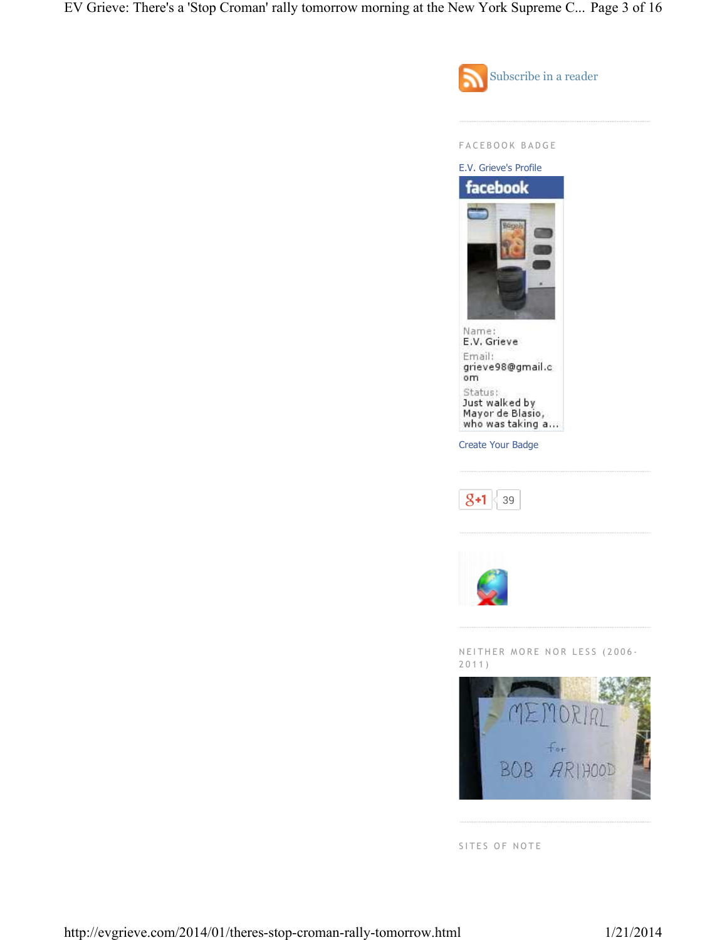EV Grieve: There's a 'Stop Croman' rally tomorrow morning at the New York Supreme C... Page 3 of 16





SITES OF NOTE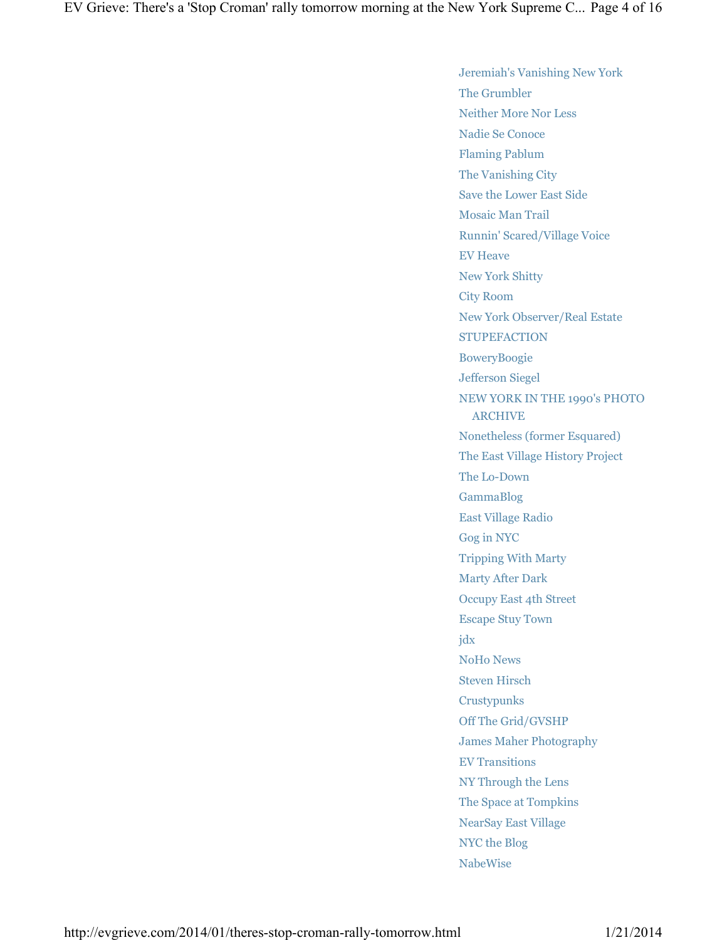Jeremiah's Vanishing New York The Grumbler Neither More Nor Less Nadie Se Conoce Flaming Pablum The Vanishing City Save the Lower East Side Mosaic Man Trail Runnin' Scared/Village Voice EV Heave New York Shitty City Room New York Observer/Real Estate **STUPEFACTION** BoweryBoogie Jefferson Siegel NEW YORK IN THE 1990's PHOTO ARCHIVE Nonetheless (former Esquared) The East Village History Project The Lo-Down GammaBlog East Village Radio Gog in NYC Tripping With Marty Marty After Dark Occupy East 4th Street Escape Stuy Town jdx NoHo News Steven Hirsch Crustypunks Off The Grid/GVSHP James Maher Photography EV Transitions NY Through the Lens The Space at Tompkins NearSay East Village NYC the Blog NabeWise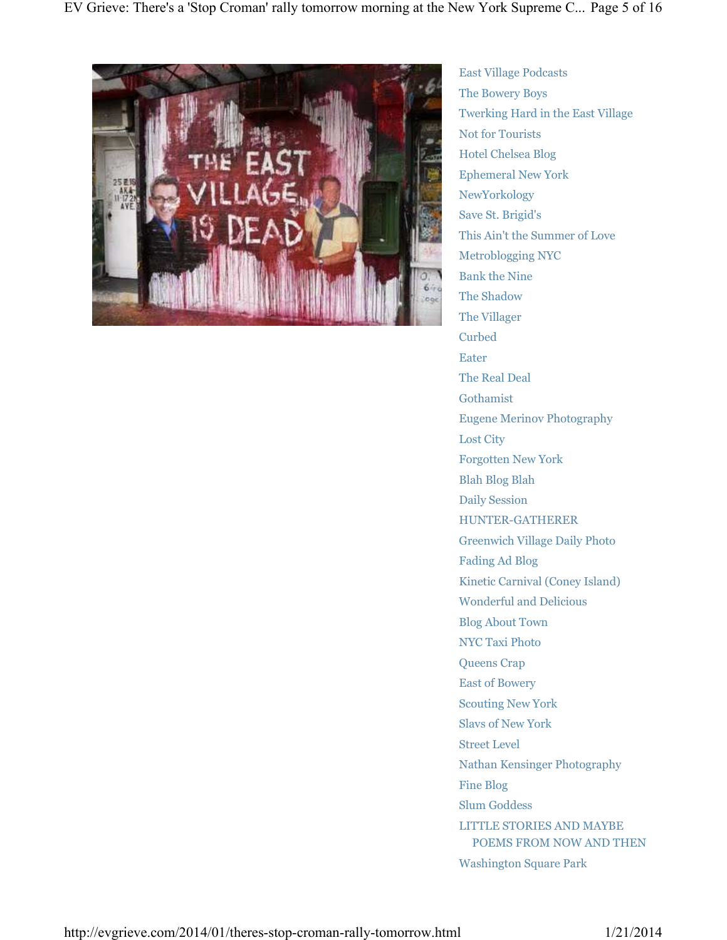

East Village Podcasts The Bowery Boys Twerking Hard in the East Village Not for Tourists Hotel Chelsea Blog Ephemeral New York NewYorkology Save St. Brigid's This Ain't the Summer of Love Metroblogging NYC Bank the Nine The Shadow The Villager Curbed Eater The Real Deal Gothamist Eugene Merinov Photography Lost City Forgotten New York Blah Blog Blah Daily Session HUNTER-GATHERER Greenwich Village Daily Photo Fading Ad Blog Kinetic Carnival (Coney Island) Wonderful and Delicious Blog About Town NYC Taxi Photo Queens Crap East of Bowery Scouting New York Slavs of New York Street Level Nathan Kensinger Photography Fine Blog Slum Goddess LITTLE STORIES AND MAYBE POEMS FROM NOW AND THEN Washington Square Park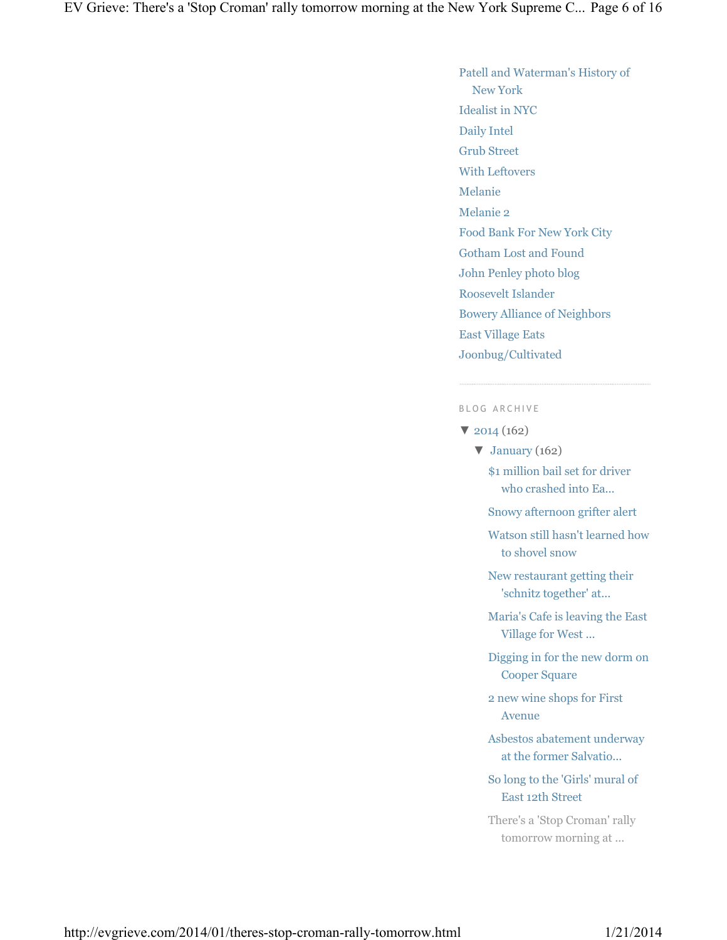## Patell and Waterman's History of New York Idealist in NYC Daily Intel Grub Street With Leftovers Melanie Melanie 2 Food Bank For New York City Gotham Lost and Found John Penley photo blog Roosevelt Islander Bowery Alliance of Neighbors East Village Eats Joonbug/Cultivated

#### B L O G A R C H I V E

- ▼ 2014 (162)
	- $\blacktriangledown$  January (162)
		- \$1 million bail set for driver who crashed into Ea...
		- Snowy afternoon grifter alert
		- Watson still hasn't learned how to shovel snow
		- New restaurant getting their 'schnitz together' at...
		- Maria's Cafe is leaving the East Village for West ...
		- Digging in for the new dorm on Cooper Square
		- 2 new wine shops for First Avenue
		- Asbestos abatement underway at the former Salvatio...
		- So long to the 'Girls' mural of East 12th Street
		- There's a 'Stop Croman' rally tomorrow morning at ...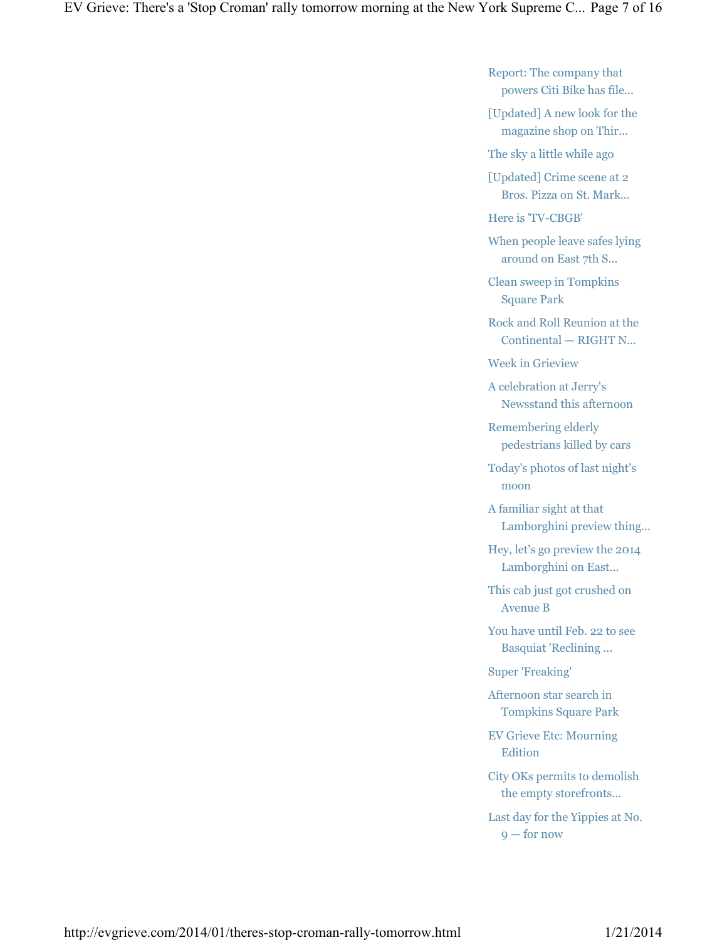Report: The company that powers Citi Bike has file...

[Updated] A new look for the magazine shop on Thir...

The sky a little while ago

[Updated] Crime scene at 2 Bros. Pizza on St. Mark...

Here is 'TV-CBGB'

When people leave safes lying around on East 7th S...

Clean sweep in Tompkins Square Park

Rock and Roll Reunion at the Continental — RIGHT N...

Week in Grieview

A celebration at Jerry's Newsstand this afternoon

Remembering elderly pedestrians killed by cars

Today's photos of last night's moon

A familiar sight at that Lamborghini preview thing...

Hey, let's go preview the 2014 Lamborghini on East...

This cab just got crushed on Avenue B

You have until Feb. 22 to see Basquiat 'Reclining ...

Super 'Freaking'

Afternoon star search in Tompkins Square Park

EV Grieve Etc: Mourning Edition

City OKs permits to demolish the empty storefronts...

Last day for the Yippies at No. 9 — for now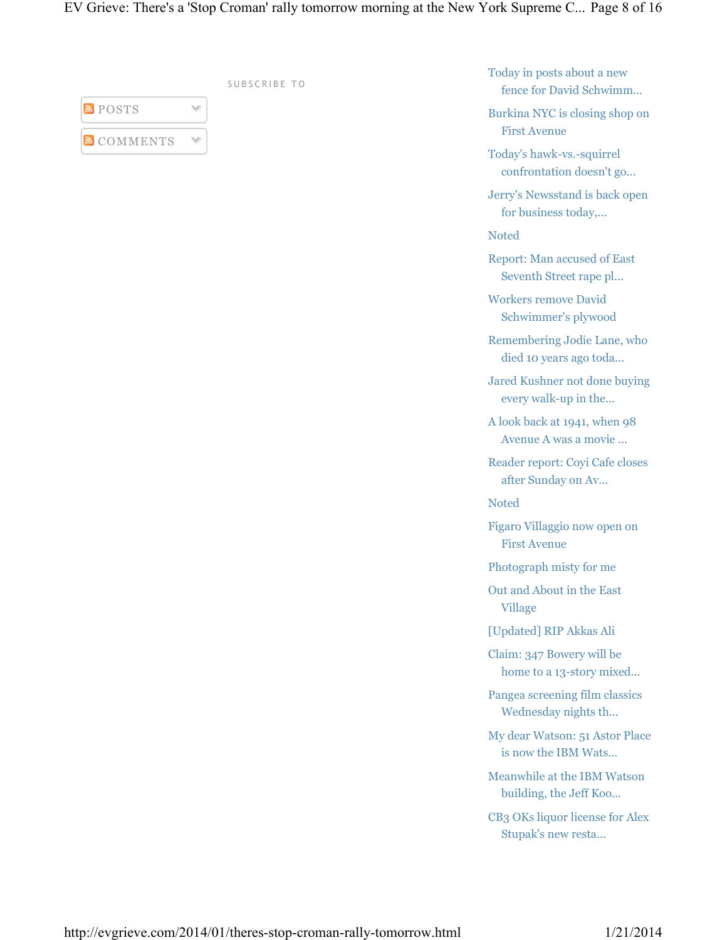|                   | SUBSCRIBE TO |  |
|-------------------|--------------|--|
| <b>POSTS</b>      |              |  |
| <b>N</b> COMMENTS |              |  |

Today in posts about a new fence for David Schwimm...

Burkina NYC is closing shop on First Avenue

Today's hawk-vs.-squirrel confrontation doesn't go...

Jerry's Newsstand is back open for business today,...

Noted

Report: Man accused of East Seventh Street rape pl...

Workers remove David Schwimmer's plywood

Remembering Jodie Lane, who died 10 years ago toda...

Jared Kushner not done buying every walk-up in the...

A look back at 1941, when 98 Avenue A was a movie ...

Reader report: Coyi Cafe closes after Sunday on Av...

Noted

Figaro Villaggio now open on First Avenue

Photograph misty for me

Out and About in the East Village

[Updated] RIP Akkas Ali

Claim: 347 Bowery will be home to a 13-story mixed...

Pangea screening film classics Wednesday nights th...

My dear Watson: 51 Astor Place is now the IBM Wats...

Meanwhile at the IBM Watson building, the Jeff Koo...

CB3 OKs liquor license for Alex Stupak's new resta...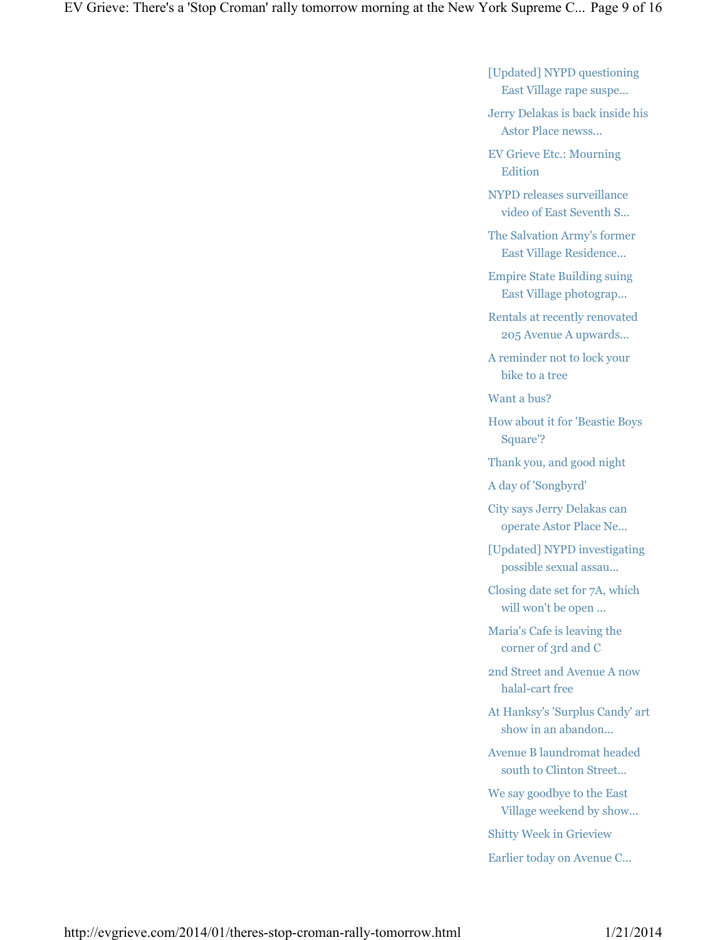[Updated] NYPD questioning East Village rape suspe...

Jerry Delakas is back inside his Astor Place newss...

EV Grieve Etc.: Mourning **Edition** 

NYPD releases surveillance video of East Seventh S...

The Salvation Army's former East Village Residence...

Empire State Building suing East Village photograp...

Rentals at recently renovated 205 Avenue A upwards...

A reminder not to lock your bike to a tree

Want a bus?

How about it for 'Beastie Boys Square'?

Thank you, and good night

A day of 'Songbyrd'

City says Jerry Delakas can operate Astor Place Ne...

[Updated] NYPD investigating possible sexual assau...

Closing date set for 7A, which will won't be open ...

Maria's Cafe is leaving the corner of 3rd and C

2nd Street and Avenue A now halal-cart free

At Hanksy's 'Surplus Candy' art show in an abandon...

Avenue B laundromat headed south to Clinton Street...

We say goodbye to the East Village weekend by show...

Shitty Week in Grieview

Earlier today on Avenue C...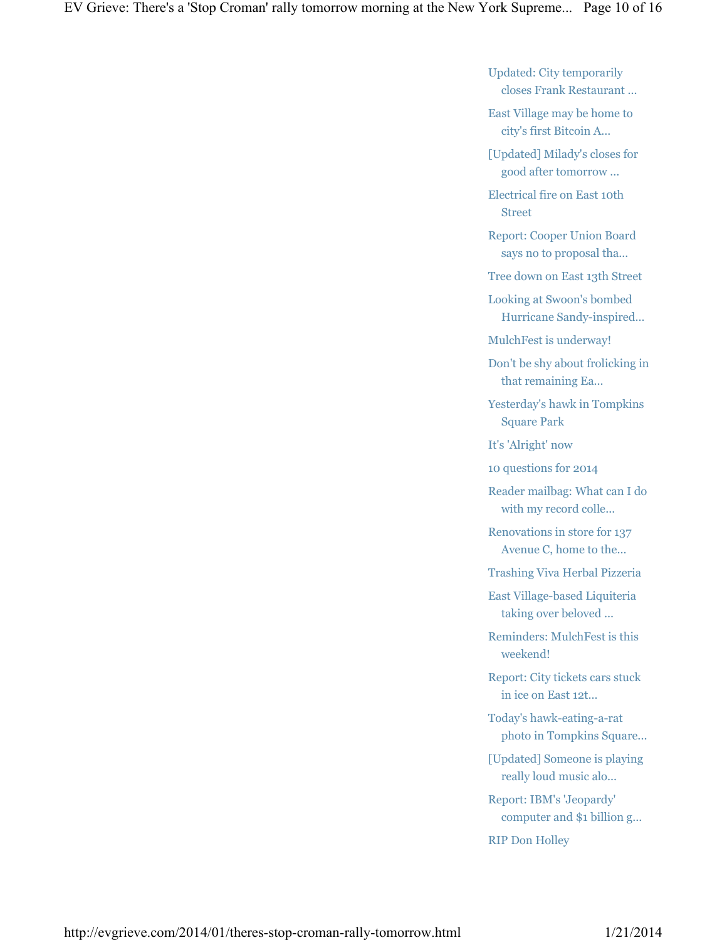Updated: City temporarily closes Frank Restaurant ...

East Village may be home to city's first Bitcoin A...

[Updated] Milady's closes for good after tomorrow ...

Electrical fire on East 10th Street

Report: Cooper Union Board says no to proposal tha...

Tree down on East 13th Street

Looking at Swoon's bombed Hurricane Sandy-inspired...

MulchFest is underway!

Don't be shy about frolicking in that remaining Ea...

Yesterday's hawk in Tompkins Square Park

It's 'Alright' now

10 questions for 2014

Reader mailbag: What can I do with my record colle...

Renovations in store for 137 Avenue C, home to the...

Trashing Viva Herbal Pizzeria

East Village-based Liquiteria taking over beloved ...

Reminders: MulchFest is this weekend!

Report: City tickets cars stuck in ice on East 12t...

Today's hawk-eating-a-rat photo in Tompkins Square...

[Updated] Someone is playing really loud music alo...

Report: IBM's 'Jeopardy' computer and \$1 billion g...

RIP Don Holley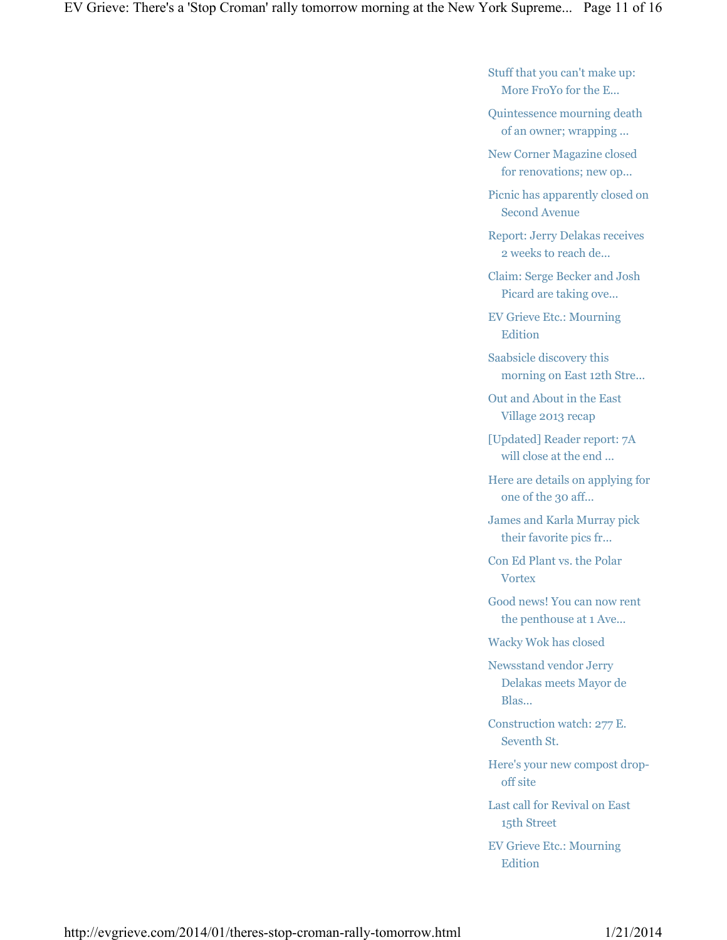Stuff that you can't make up: More FroYo for the E...

Quintessence mourning death of an owner; wrapping ...

New Corner Magazine closed for renovations; new op...

Picnic has apparently closed on Second Avenue

Report: Jerry Delakas receives 2 weeks to reach de...

Claim: Serge Becker and Josh Picard are taking ove...

EV Grieve Etc.: Mourning Edition

Saabsicle discovery this morning on East 12th Stre...

Out and About in the East Village 2013 recap

[Updated] Reader report: 7A will close at the end ...

Here are details on applying for one of the 30 aff...

James and Karla Murray pick their favorite pics fr...

Con Ed Plant vs. the Polar **Vortex** 

Good news! You can now rent the penthouse at 1 Ave...

Wacky Wok has closed

Newsstand vendor Jerry Delakas meets Mayor de Blas...

Construction watch: 277 E. Seventh St.

Here's your new compost dropoff site

Last call for Revival on East 15th Street

EV Grieve Etc.: Mourning Edition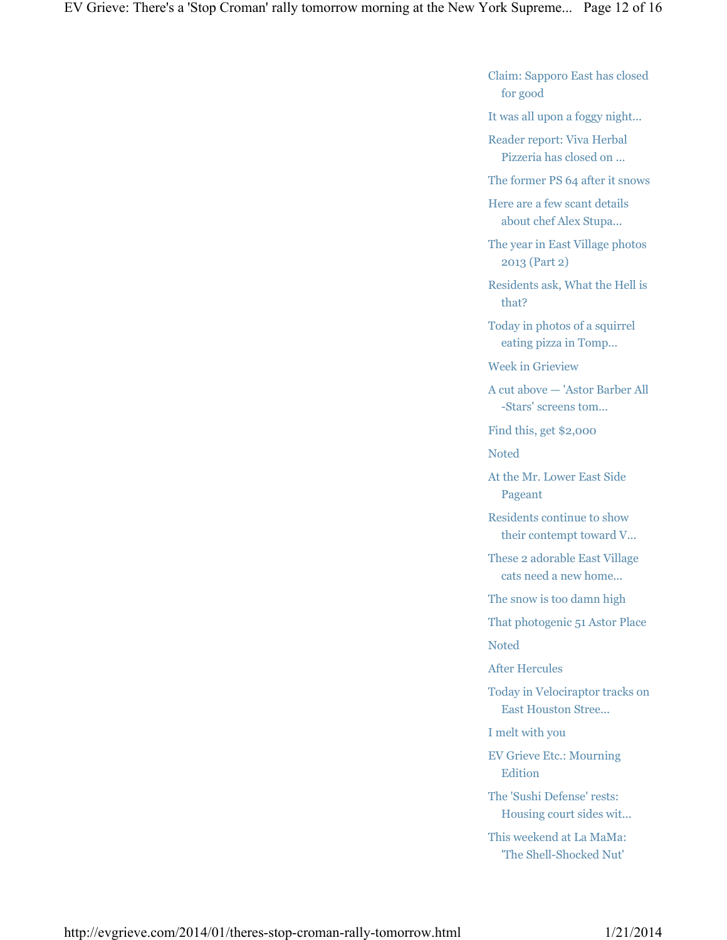Claim: Sapporo East has closed for good

It was all upon a foggy night...

Reader report: Viva Herbal Pizzeria has closed on ...

The former PS 64 after it snows

Here are a few scant details about chef Alex Stupa...

The year in East Village photos 2013 (Part 2)

Residents ask, What the Hell is that?

Today in photos of a squirrel eating pizza in Tomp...

Week in Grieview

A cut above — 'Astor Barber All -Stars' screens tom...

Find this, get \$2,000

Noted

At the Mr. Lower East Side Pageant

Residents continue to show their contempt toward V...

These 2 adorable East Village cats need a new home...

The snow is too damn high

That photogenic 51 Astor Place

Noted

After Hercules

Today in Velociraptor tracks on East Houston Stree...

I melt with you

EV Grieve Etc.: Mourning Edition

The 'Sushi Defense' rests: Housing court sides wit...

This weekend at La MaMa: 'The Shell-Shocked Nut'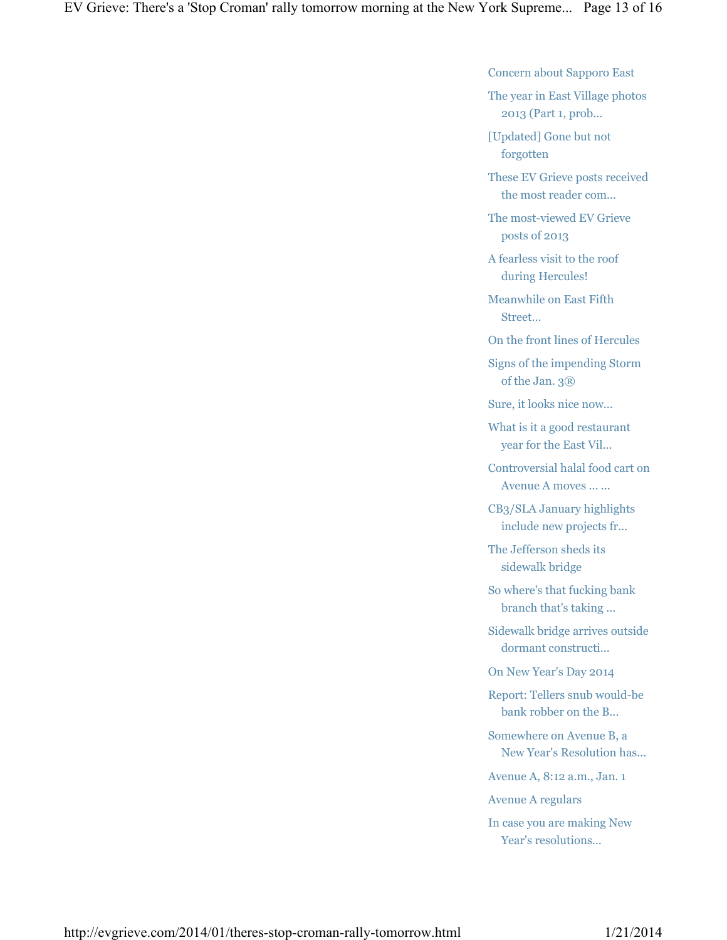Concern about Sapporo East

The year in East Village photos 2013 (Part 1, prob...

[Updated] Gone but not forgotten

These EV Grieve posts received the most reader com...

The most-viewed EV Grieve posts of 2013

A fearless visit to the roof during Hercules!

Meanwhile on East Fifth Street…

On the front lines of Hercules

Signs of the impending Storm of the Jan. 3<sup>®</sup>

Sure, it looks nice now...

What is it a good restaurant year for the East Vil...

Controversial halal food cart on Avenue A moves … ...

CB3/SLA January highlights include new projects fr...

The Jefferson sheds its sidewalk bridge

So where's that fucking bank branch that's taking ...

Sidewalk bridge arrives outside dormant constructi...

On New Year's Day 2014

Report: Tellers snub would-be bank robber on the B...

Somewhere on Avenue B, a New Year's Resolution has...

Avenue A, 8:12 a.m., Jan. 1

Avenue A regulars

In case you are making New Year's resolutions...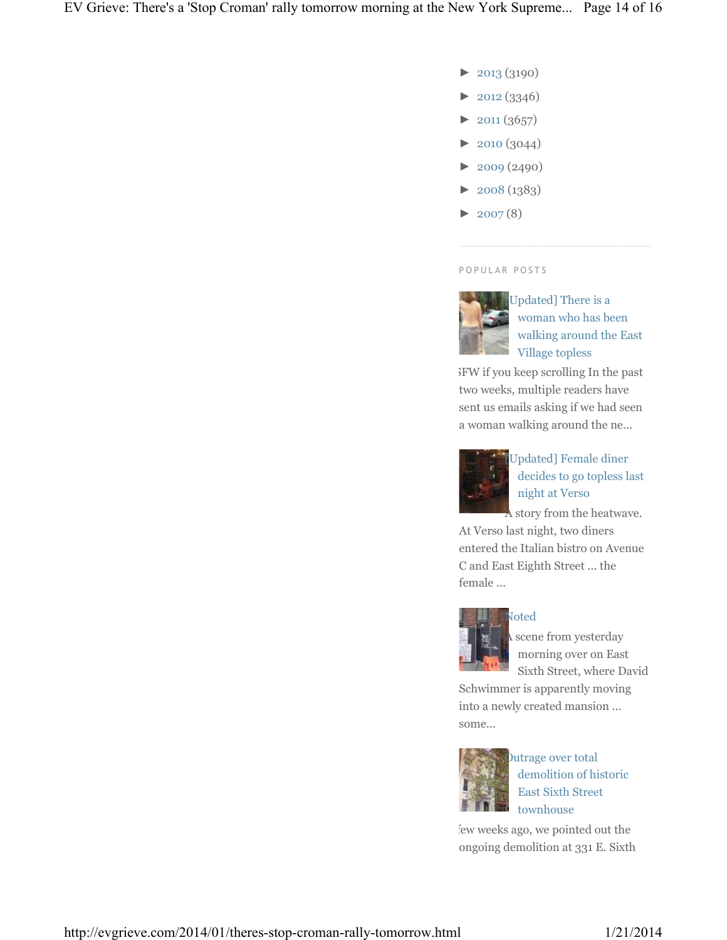- ► 2013 (3190)
- ► 2012 (3346)
- $\blacktriangleright$  2011 (3657)
- ► 2010 (3044)
- ► 2009 (2490)
- ► 2008 (1383)
- $\blacktriangleright$  2007(8)

#### P O P U L A R P O S T S



[Updated] There is a woman who has been walking around the East Village topless

NSFW if you keep scrolling In the past two weeks, multiple readers have sent us emails asking if we had seen a woman walking around the ne...



## [Updated] Female diner decides to go topless last night at Verso

A story from the heatwave.

At Verso last night, two diners entered the Italian bistro on Avenue C and East Eighth Street ... the female ...



### Noted

scene from yesterday morning over on East Sixth Street, where David

Schwimmer is apparently moving into a newly created mansion ... some...



Outrage over total demolition of historic East Sixth Street townhouse

few weeks ago, we pointed out the ongoing demolition at 331 E. Sixth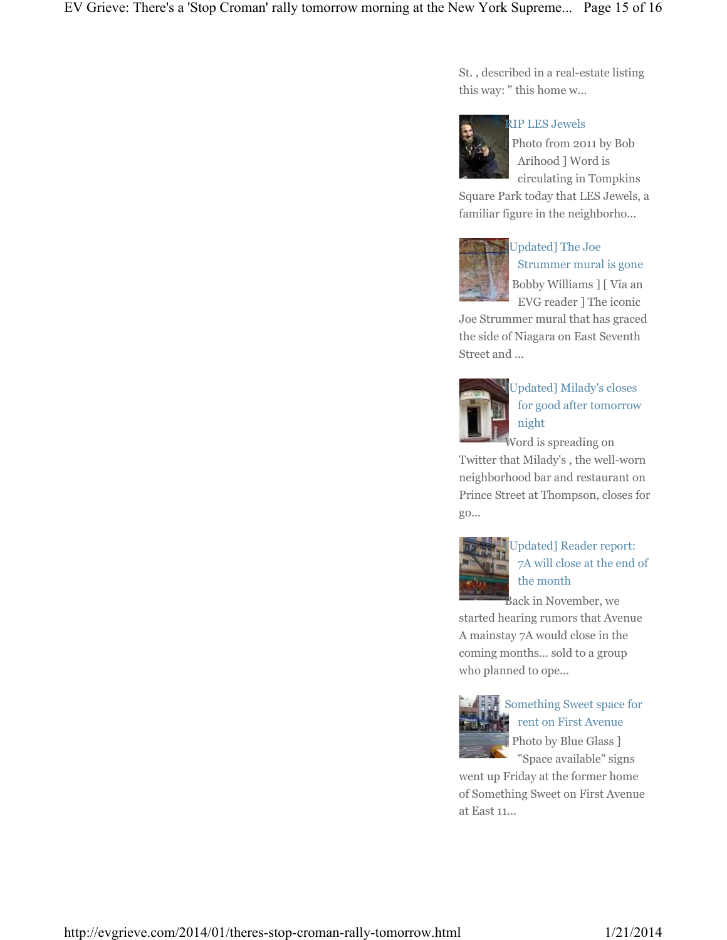St. , described in a real-estate listing this way: " this home w...



#### RIP LES Jewels

Photo from 2011 by Bob Arihood ] Word is circulating in Tompkins

Square Park today that LES Jewels, a familiar figure in the neighborho...



## Updated] The Joe Strummer mural is gone [ Bobby Williams ] [ Via an EVG reader ] The iconic

Joe Strummer mural that has graced the side of Niagara on East Seventh Street and ...



## [Updated] Milady's closes for good after tomorrow night

Word is spreading on Twitter that Milady's , the well-worn neighborhood bar and restaurant on Prince Street at Thompson, closes for go...



## Updated] Reader report: 7A will close at the end of the month

Back in November, we started hearing rumors that Avenue A mainstay 7A would close in the coming months… sold to a group who planned to ope...



## Something Sweet space for rent on First Avenue Photo by Blue Glass ] "Space available" signs

went up Friday at the former home of Something Sweet on First Avenue at East 11...